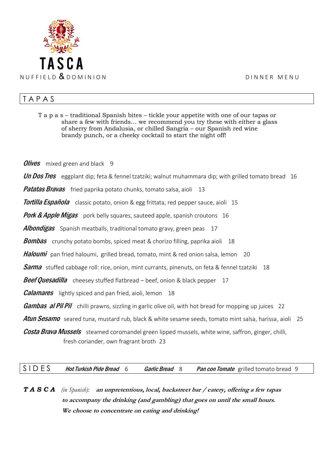

## T A P A S

T a p a s – traditional Spanish bites – tickle your appetite with one of our tapas or share a few with friends… we recommend you try these with either a glass of sherry from Andalusia, or chilled Sangria – our Spanish red wine brandy punch, or a cheeky cocktail to start the night off!

**Olives** mixed green and black 9

**Un Dos Tres** eggplant dip; feta & fennel tzatziki; walnut muhammara dip; with grilled tomato bread 16

Patatas Bravas fried paprika potato chunks, tomato salsa, aioli 13

**Tortilla Española** classic potato, onion & egg frittata, red pepper sauce, aioli 15

Pork & Apple Migas pork belly squares, sauteed apple, spanish croutons 16

**Albondigas** Spanish meatballs, traditional tomato gravy, green peas 17

**Bombas** crunchy potato bombs, spiced meat & chorizo filling, paprika aioli 18

Haloumi pan fried haloumi, grilled bread, tomato, mint & red onion salsa, lemon 20

**Sarma** stuffed cabbage roll: rice, onion, mint currants, pinenuts, on feta & fennel tzatziki 18

**Beef Quesadilla** cheesey stuffed flatbread – beef, onion & black pepper 17

*Calamares* lightly spiced and pan fried, aioli, lemon 18

**Gambas al Pil Pil** chilli prawns, sizzling in garlic olive oil, with hot bread for mopping up juices 22

Atun Sesamo seared tuna, mustard rub, black & white sesame seeds, tomato mint salsa, harissa, aioli 25

**Costa Brava Mussels** steamed coromandel green lipped mussels, white wine, saffron, ginger, chilli, fresh coriander, own fragrant broth 23

S I D E S Hot Turkish Pide Bread 6 Garlic Bread 8 Pan con Tomate grilled tomato bread 9

*T A S C A (in Spanish):* **an unpretentious, local, backstreet bar / eatery, offering a few tapas to accompany the drinking (and gambling) that goes on until the small hours. We choose to concentrate on eating and drinking!**